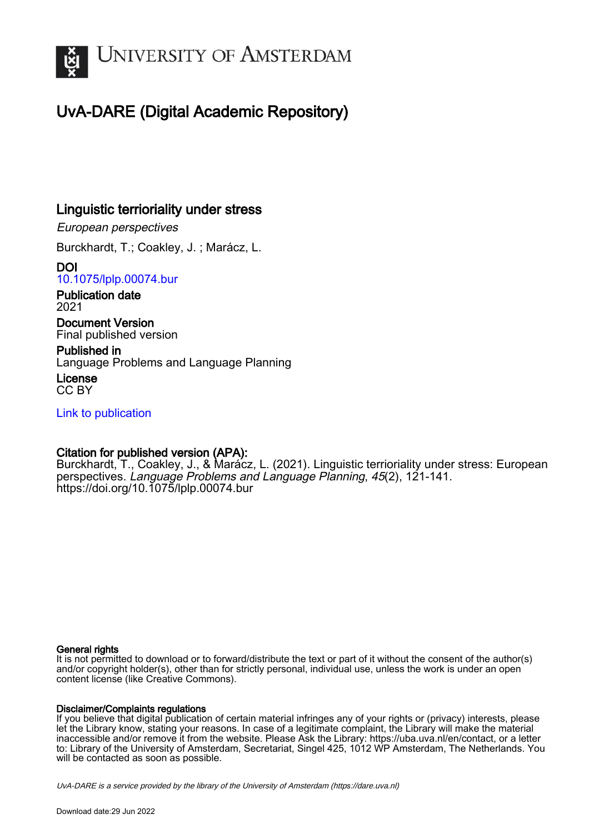

# UvA-DARE (Digital Academic Repository)

# Linguistic terrioriality under stress

European perspectives

Burckhardt, T.; Coakley, J. ; Marácz, L.

DOI [10.1075/lplp.00074.bur](https://doi.org/10.1075/lplp.00074.bur)

Publication date 2021

Document Version Final published version

Published in Language Problems and Language Planning

License CC BY

[Link to publication](https://dare.uva.nl/personal/pure/en/publications/linguistic-terrioriality-under-stress(9639c589-8e9f-4d91-8b88-0200258c91f4).html)

# Citation for published version (APA):

Burckhardt, T., Coakley, J., & Marácz, L. (2021). Linguistic terrioriality under stress: European perspectives. Language Problems and Language Planning, 45(2), 121-141. <https://doi.org/10.1075/lplp.00074.bur>

# General rights

It is not permitted to download or to forward/distribute the text or part of it without the consent of the author(s) and/or copyright holder(s), other than for strictly personal, individual use, unless the work is under an open content license (like Creative Commons).

# Disclaimer/Complaints regulations

If you believe that digital publication of certain material infringes any of your rights or (privacy) interests, please let the Library know, stating your reasons. In case of a legitimate complaint, the Library will make the material inaccessible and/or remove it from the website. Please Ask the Library: https://uba.uva.nl/en/contact, or a letter to: Library of the University of Amsterdam, Secretariat, Singel 425, 1012 WP Amsterdam, The Netherlands. You will be contacted as soon as possible.

UvA-DARE is a service provided by the library of the University of Amsterdam (http*s*://dare.uva.nl)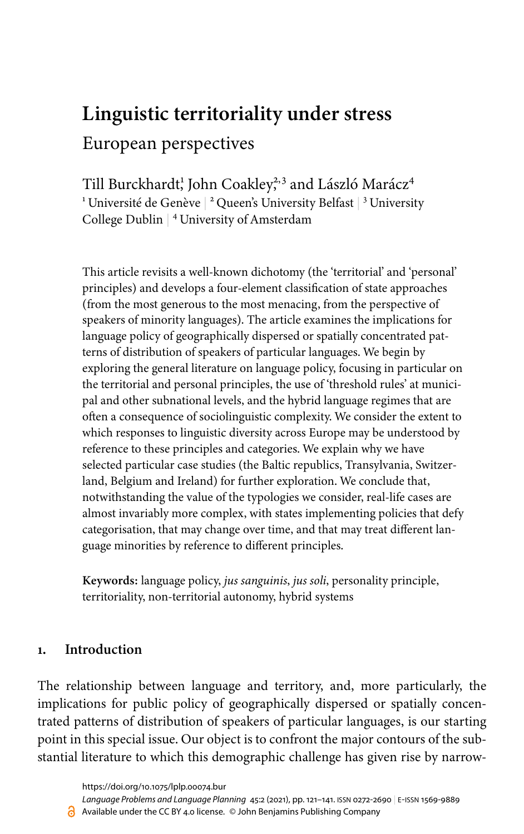# **Linguistic territoriality under stress** European perspectives

Till Burckhardt¦ John Coakley;<sup>33</sup> and László Marácz<sup>4</sup>  $^{\rm 1}$ Université de Genève |  $^{\rm 2}$  Queen's University Belfast |  $^{\rm 3}$  University College Dublin | <sup>4</sup> University of Amsterdam

This article revisits a well-known dichotomy (the 'territorial' and 'personal' principles) and develops a four-element classification of state approaches (from the most generous to the most menacing, from the perspective of speakers of minority languages). The article examines the implications for language policy of geographically dispersed or spatially concentrated patterns of distribution of speakers of particular languages. We begin by exploring the general literature on language policy, focusing in particular on the territorial and personal principles, the use of 'threshold rules' at municipal and other subnational levels, and the hybrid language regimes that are often a consequence of sociolinguistic complexity. We consider the extent to which responses to linguistic diversity across Europe may be understood by reference to these principles and categories. We explain why we have selected particular case studies (the Baltic republics, Transylvania, Switzerland, Belgium and Ireland) for further exploration. We conclude that, notwithstanding the value of the typologies we consider, real-life cases are almost invariably more complex, with states implementing policies that defy categorisation, that may change over time, and that may treat different language minorities by reference to different principles.

**Keywords:** language policy, *jus sanguinis*, *jus soli*, personality principle, territoriality, non-territorial autonomy, hybrid systems

# **1. Introduction**

The relationship between language and territory, and, more particularly, the implications for public policy of geographically dispersed or spatially concentrated patterns of distribution of speakers of particular languages, is our starting point in this special issue. Our object is to confront the major contours of the substantial literature to which this demographic challenge has given rise by narrow-

<https://doi.org/10.1075/lplp.00074.bur>

*Language Problems and Language Planning* [45:2](/exist/apps/journals.benjamins.com/lplp/list/issue/lplp.45.2) (2021), pp. 121–[141](#page-21-0). ISSN 0272-2690 | E‑ISSN 1569-9889

Available under the CC BY 4.0 license. © John Benjamins Publishing Company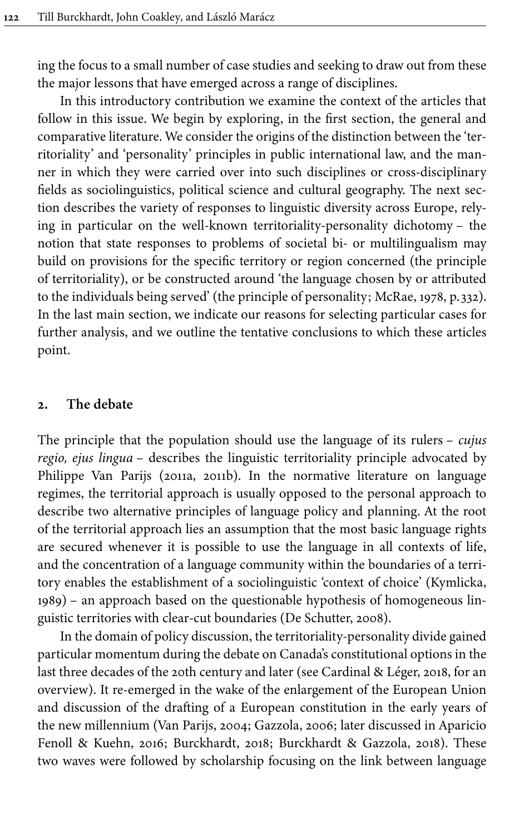ing the focus to a small number of case studies and seeking to draw out from these the major lessons that have emerged across a range of disciplines.

In this introductory contribution we examine the context of the articles that follow in this issue. We begin by exploring, in the first section, the general and comparative literature. We consider the origins of the distinction between the 'territoriality' and 'personality' principles in public international law, and the manner in which they were carried over into such disciplines or cross-disciplinary fields as sociolinguistics, political science and cultural geography. The next section describes the variety of responses to linguistic diversity across Europe, relying in particular on the well-known territoriality-personality dichotomy – the notion that state responses to problems of societal bi- or multilingualism may build on provisions for the specific territory or region concerned (the principle of territoriality), or be constructed around 'the language chosen by or attributed to the individuals being served' (the principle of personality; [McRae, 1978,](#page-19-0) p. 332). In the last main section, we indicate our reasons for selecting particular cases for further analysis, and we outline the tentative conclusions to which these articles point.

#### **2. The debate**

The principle that the population should use the language of its rulers – *cujus regio, ejus lingua* – describes the linguistic territoriality principle advocated by Philippe Van Parijs [\(2011a](#page-20-0), [2011b\)](#page-20-1). In the normative literature on language regimes, the territorial approach is usually opposed to the personal approach to describe two alternative principles of language policy and planning. At the root of the territorial approach lies an assumption that the most basic language rights are secured whenever it is possible to use the language in all contexts of life, and the concentration of a language community within the boundaries of a territory enables the establishment of a sociolinguistic 'context of choice' [\(Kymlicka,](#page-18-0) [1989\)](#page-18-0) – an approach based on the questionable hypothesis of homogeneous linguistic territories with clear-cut boundaries ([De Schutter, 2008](#page-18-1)).

In the domain of policy discussion, the territoriality-personality divide gained particular momentum during the debate on Canada's constitutional options in the last three decades of the 20th century and later (see [Cardinal & Léger, 2018](#page-17-0), for an overview). It re-emerged in the wake of the enlargement of the European Union and discussion of the drafting of a European constitution in the early years of the new millennium ([Van Parijs, 2004](#page-20-2); [Gazzola, 2006;](#page-18-2) later discussed in [Aparicio](#page-17-1) [Fenoll & Kuehn, 2016](#page-17-1); [Burckhardt, 2018;](#page-17-2) [Burckhardt & Gazzola, 2018](#page-17-3)). These two waves were followed by scholarship focusing on the link between language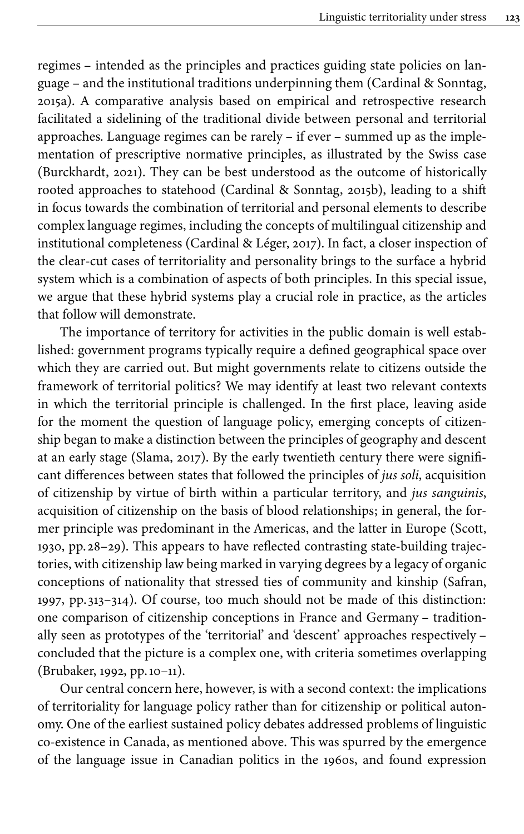regimes – intended as the principles and practices guiding state policies on language – and the institutional traditions underpinning them ([Cardinal & Sonntag,](#page-18-3) [2015a\)](#page-18-3). A comparative analysis based on empirical and retrospective research facilitated a sidelining of the traditional divide between personal and territorial approaches. Language regimes can be rarely – if ever – summed up as the implementation of prescriptive normative principles, as illustrated by the Swiss case [\(Burckhardt, 2021](#page-17-4)). They can be best understood as the outcome of historically rooted approaches to statehood ([Cardinal & Sonntag, 2015b](#page-18-4)), leading to a shift in focus towards the combination of territorial and personal elements to describe complex language regimes, including the concepts of multilingual citizenship and institutional completeness [\(Cardinal & Léger, 2017\)](#page-17-5). In fact, a closer inspection of the clear-cut cases of territoriality and personality brings to the surface a hybrid system which is a combination of aspects of both principles. In this special issue, we argue that these hybrid systems play a crucial role in practice, as the articles that follow will demonstrate.

The importance of territory for activities in the public domain is well established: government programs typically require a defined geographical space over which they are carried out. But might governments relate to citizens outside the framework of territorial politics? We may identify at least two relevant contexts in which the territorial principle is challenged. In the first place, leaving aside for the moment the question of language policy, emerging concepts of citizenship began to make a distinction between the principles of geography and descent at an early stage ([Slama, 2017](#page-20-3)). By the early twentieth century there were significant differences between states that followed the principles of *jus soli*, acquisition of citizenship by virtue of birth within a particular territory, and *jus sanguinis*, acquisition of citizenship on the basis of blood relationships; in general, the former principle was predominant in the Americas, and the latter in Europe ([Scott,](#page-19-1) [1930,](#page-19-1) pp. 28–29). This appears to have reflected contrasting state-building trajectories, with citizenship law being marked in varying degrees by a legacy of organic conceptions of nationality that stressed ties of community and kinship [\(Safran,](#page-19-2) [1997,](#page-19-2) pp. 313–314). Of course, too much should not be made of this distinction: one comparison of citizenship conceptions in France and Germany – traditionally seen as prototypes of the 'territorial' and 'descent' approaches respectively – concluded that the picture is a complex one, with criteria sometimes overlapping [\(Brubaker, 1992,](#page-17-6) pp.10–11).

Our central concern here, however, is with a second context: the implications of territoriality for language policy rather than for citizenship or political autonomy. One of the earliest sustained policy debates addressed problems of linguistic co-existence in Canada, as mentioned above. This was spurred by the emergence of the language issue in Canadian politics in the 1960s, and found expression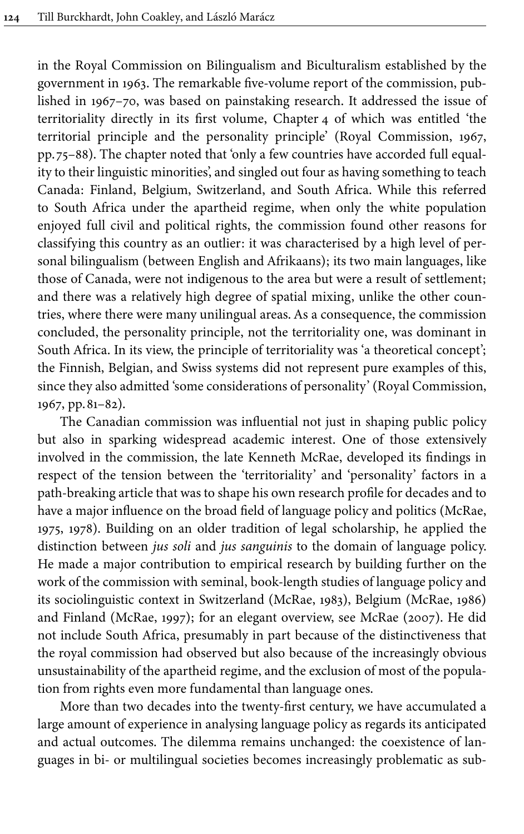in the Royal Commission on Bilingualism and Biculturalism established by the government in 1963. The remarkable five-volume report of the commission, published in 1967–70, was based on painstaking research. It addressed the issue of territoriality directly in its first volume, Chapter 4 of which was entitled 'the territorial principle and the personality principle' [\(Royal Commission, 1967](#page-19-3), pp. 75–88). The chapter noted that 'only a few countries have accorded full equality to their linguistic minorities', and singled out four as having something to teach Canada: Finland, Belgium, Switzerland, and South Africa. While this referred to South Africa under the apartheid regime, when only the white population enjoyed full civil and political rights, the commission found other reasons for classifying this country as an outlier: it was characterised by a high level of personal bilingualism (between English and Afrikaans); its two main languages, like those of Canada, were not indigenous to the area but were a result of settlement; and there was a relatively high degree of spatial mixing, unlike the other countries, where there were many unilingual areas. As a consequence, the commission concluded, the personality principle, not the territoriality one, was dominant in South Africa. In its view, the principle of territoriality was 'a theoretical concept'; the Finnish, Belgian, and Swiss systems did not represent pure examples of this, since they also admitted 'some considerations of personality' ([Royal Commission,](#page-19-3) [1967,](#page-19-3) pp.81–82).

The Canadian commission was influential not just in shaping public policy but also in sparking widespread academic interest. One of those extensively involved in the commission, the late Kenneth McRae, developed its findings in respect of the tension between the 'territoriality' and 'personality' factors in a path-breaking article that was to shape his own research profile for decades and to have a major influence on the broad field of language policy and politics ([McRae,](#page-19-4) [1975,](#page-19-4) [1978](#page-19-0)). Building on an older tradition of legal scholarship, he applied the distinction between *jus soli* and *jus sanguinis* to the domain of language policy. He made a major contribution to empirical research by building further on the work of the commission with seminal, book-length studies of language policy and its sociolinguistic context in Switzerland [\(McRae, 1983\)](#page-19-5), Belgium [\(McRae, 1986\)](#page-19-6) and Finland [\(McRae, 1997\)](#page-19-7); for an elegant overview, see [McRae \(2007\)](#page-19-8). He did not include South Africa, presumably in part because of the distinctiveness that the royal commission had observed but also because of the increasingly obvious unsustainability of the apartheid regime, and the exclusion of most of the population from rights even more fundamental than language ones.

More than two decades into the twenty-first century, we have accumulated a large amount of experience in analysing language policy as regards its anticipated and actual outcomes. The dilemma remains unchanged: the coexistence of languages in bi- or multilingual societies becomes increasingly problematic as sub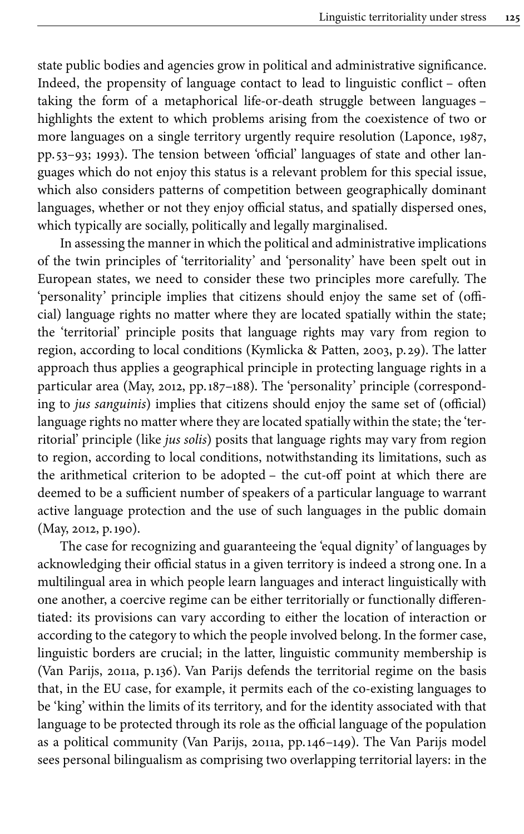state public bodies and agencies grow in political and administrative significance. Indeed, the propensity of language contact to lead to linguistic conflict – often taking the form of a metaphorical life-or-death struggle between languages – highlights the extent to which problems arising from the coexistence of two or more languages on a single territory urgently require resolution [\(Laponce, 1987](#page-19-9), pp. 53–93; [1993\)](#page-19-10). The tension between 'official' languages of state and other languages which do not enjoy this status is a relevant problem for this special issue, which also considers patterns of competition between geographically dominant languages, whether or not they enjoy official status, and spatially dispersed ones, which typically are socially, politically and legally marginalised.

In assessing the manner in which the political and administrative implications of the twin principles of 'territoriality' and 'personality' have been spelt out in European states, we need to consider these two principles more carefully. The 'personality' principle implies that citizens should enjoy the same set of (official) language rights no matter where they are located spatially within the state; the 'territorial' principle posits that language rights may vary from region to region, according to local conditions ([Kymlicka & Patten, 2003,](#page-19-11) p. 29). The latter approach thus applies a geographical principle in protecting language rights in a particular area ([May, 2012](#page-19-12), pp.187–188). The 'personality' principle (corresponding to *jus sanguinis*) implies that citizens should enjoy the same set of (official) language rights no matter where they are located spatially within the state; the 'territorial' principle (like *jus solis*) posits that language rights may vary from region to region, according to local conditions, notwithstanding its limitations, such as the arithmetical criterion to be adopted – the cut-off point at which there are deemed to be a sufficient number of speakers of a particular language to warrant active language protection and the use of such languages in the public domain [\(May, 2012,](#page-19-12) p.190).

The case for recognizing and guaranteeing the 'equal dignity' of languages by acknowledging their official status in a given territory is indeed a strong one. In a multilingual area in which people learn languages and interact linguistically with one another, a coercive regime can be either territorially or functionally differentiated: its provisions can vary according to either the location of interaction or according to the category to which the people involved belong. In the former case, linguistic borders are crucial; in the latter, linguistic community membership is [\(Van Parijs, 2011a](#page-20-0), p.136). Van Parijs defends the territorial regime on the basis that, in the EU case, for example, it permits each of the co-existing languages to be 'king' within the limits of its territory, and for the identity associated with that language to be protected through its role as the official language of the population as a political community ([Van Parijs, 2011a,](#page-20-0) pp.146–149). The Van Parijs model sees personal bilingualism as comprising two overlapping territorial layers: in the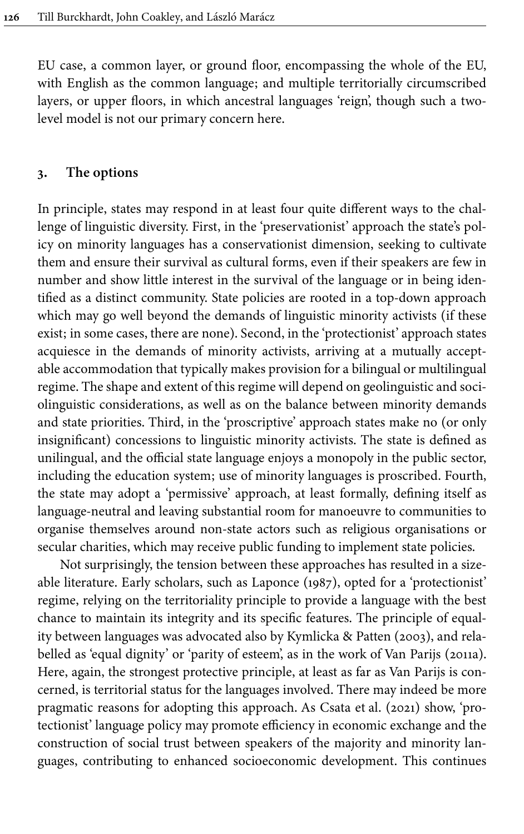EU case, a common layer, or ground floor, encompassing the whole of the EU, with English as the common language; and multiple territorially circumscribed layers, or upper floors, in which ancestral languages 'reign', though such a twolevel model is not our primary concern here.

### **3. The options**

In principle, states may respond in at least four quite different ways to the challenge of linguistic diversity. First, in the 'preservationist' approach the state's policy on minority languages has a conservationist dimension, seeking to cultivate them and ensure their survival as cultural forms, even if their speakers are few in number and show little interest in the survival of the language or in being identified as a distinct community. State policies are rooted in a top-down approach which may go well beyond the demands of linguistic minority activists (if these exist; in some cases, there are none). Second, in the 'protectionist' approach states acquiesce in the demands of minority activists, arriving at a mutually acceptable accommodation that typically makes provision for a bilingual or multilingual regime. The shape and extent of this regime will depend on geolinguistic and sociolinguistic considerations, as well as on the balance between minority demands and state priorities. Third, in the 'proscriptive' approach states make no (or only insignificant) concessions to linguistic minority activists. The state is defined as unilingual, and the official state language enjoys a monopoly in the public sector, including the education system; use of minority languages is proscribed. Fourth, the state may adopt a 'permissive' approach, at least formally, defining itself as language-neutral and leaving substantial room for manoeuvre to communities to organise themselves around non-state actors such as religious organisations or secular charities, which may receive public funding to implement state policies.

Not surprisingly, the tension between these approaches has resulted in a sizeable literature. Early scholars, such as [Laponce \(1987\)](#page-19-9), opted for a 'protectionist' regime, relying on the territoriality principle to provide a language with the best chance to maintain its integrity and its specific features. The principle of equality between languages was advocated also by [Kymlicka & Patten \(2003\)](#page-19-11), and relabelled as 'equal dignity' or 'parity of esteem', as in the work of [Van Parijs \(2011a\)](#page-20-0). Here, again, the strongest protective principle, at least as far as Van Parijs is concerned, is territorial status for the languages involved. There may indeed be more pragmatic reasons for adopting this approach. As Csata et [al. \(2021\)](#page-18-5) show, 'protectionist' language policy may promote efficiency in economic exchange and the construction of social trust between speakers of the majority and minority languages, contributing to enhanced socioeconomic development. This continues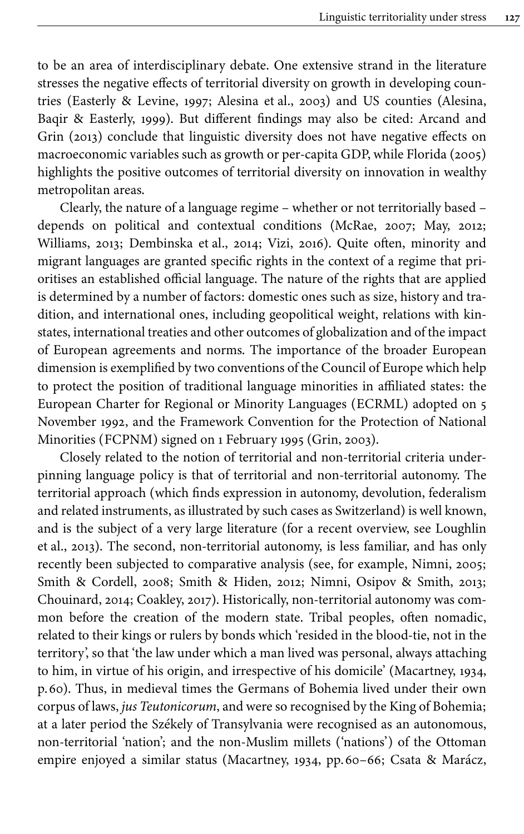to be an area of interdisciplinary debate. One extensive strand in the literature stresses the negative effects of territorial diversity on growth in developing countries ([Easterly & Levine, 1997;](#page-18-6) [Alesina et](#page-17-7) al., 2003) and US counties [\(Alesina,](#page-17-8) [Baqir & Easterly, 1999](#page-17-8)). But different findings may also be cited: [Arcand and](#page-17-9) [Grin \(2013\)](#page-17-9) conclude that linguistic diversity does not have negative effects on macroeconomic variables such as growth or per-capita GDP, while [Florida \(2005\)](#page-18-7) highlights the positive outcomes of territorial diversity on innovation in wealthy metropolitan areas.

Clearly, the nature of a language regime – whether or not territorially based – depends on political and contextual conditions ([McRae, 2007;](#page-19-8) [May, 2012](#page-19-12); [Williams, 2013](#page-20-4); [Dembinska et](#page-18-8) al., 2014; [Vizi, 2016](#page-20-5)). Quite often, minority and migrant languages are granted specific rights in the context of a regime that prioritises an established official language. The nature of the rights that are applied is determined by a number of factors: domestic ones such as size, history and tradition, and international ones, including geopolitical weight, relations with kinstates, international treaties and other outcomes of globalization and of the impact of European agreements and norms. The importance of the broader European dimension is exemplified by two conventions of the Council of Europe which help to protect the position of traditional language minorities in affiliated states: the European Charter for Regional or Minority Languages (ECRML) adopted on 5 November 1992, and the Framework Convention for the Protection of National Minorities (FCPNM) signed on 1 February 1995 [\(Grin, 2003](#page-18-9)).

Closely related to the notion of territorial and non-territorial criteria underpinning language policy is that of territorial and non-territorial autonomy. The territorial approach (which finds expression in autonomy, devolution, federalism and related instruments, as illustrated by such cases as Switzerland) is well known, and is the subject of a very large literature (for a recent overview, see [Loughlin](#page-19-13) et [al., 2013\)](#page-19-13). The second, non-territorial autonomy, is less familiar, and has only recently been subjected to comparative analysis (see, for example, [Nimni, 2005](#page-19-14); [Smith & Cordell, 2008](#page-20-6); [Smith & Hiden, 2012;](#page-20-7) [Nimni, Osipov & Smith, 2013](#page-19-15); [Chouinard, 2014](#page-18-10); [Coakley, 2017](#page-18-11)). Historically, non-territorial autonomy was common before the creation of the modern state. Tribal peoples, often nomadic, related to their kings or rulers by bonds which 'resided in the blood-tie, not in the territory', so that 'the law under which a man lived was personal, always attaching to him, in virtue of his origin, and irrespective of his domicile' [\(Macartney, 1934](#page-19-16), p.60). Thus, in medieval times the Germans of Bohemia lived under their own corpus of laws, *jus Teutonicorum*, and were so recognised by the King of Bohemia; at a later period the Székely of Transylvania were recognised as an autonomous, non-territorial 'nation'; and the non-Muslim millets ('nations') of the Ottoman empire enjoyed a similar status [\(Macartney, 1934,](#page-19-16) pp.60–66; [Csata & Marácz,](#page-18-12)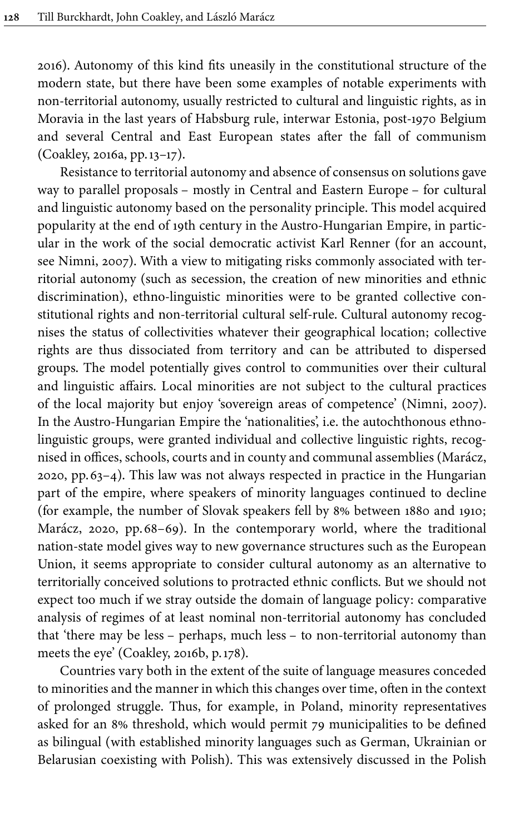[2016](#page-18-12)). Autonomy of this kind fits uneasily in the constitutional structure of the modern state, but there have been some examples of notable experiments with non-territorial autonomy, usually restricted to cultural and linguistic rights, as in Moravia in the last years of Habsburg rule, interwar Estonia, post-1970 Belgium and several Central and East European states after the fall of communism [\(Coakley, 2016a,](#page-18-13) pp.13–17).

Resistance to territorial autonomy and absence of consensus on solutions gave way to parallel proposals – mostly in Central and Eastern Europe – for cultural and linguistic autonomy based on the personality principle. This model acquired popularity at the end of 19th century in the Austro-Hungarian Empire, in particular in the work of the social democratic activist Karl Renner (for an account, see [Nimni, 2007\)](#page-19-17). With a view to mitigating risks commonly associated with territorial autonomy (such as secession, the creation of new minorities and ethnic discrimination), ethno-linguistic minorities were to be granted collective constitutional rights and non-territorial cultural self-rule. Cultural autonomy recognises the status of collectivities whatever their geographical location; collective rights are thus dissociated from territory and can be attributed to dispersed groups. The model potentially gives control to communities over their cultural and linguistic affairs. Local minorities are not subject to the cultural practices of the local majority but enjoy 'sovereign areas of competence' [\(Nimni, 2007\)](#page-19-17). In the Austro-Hungarian Empire the 'nationalities', i.e. the autochthonous ethnolinguistic groups, were granted individual and collective linguistic rights, recognised in offices, schools, courts and in county and communal assemblies ([Marácz,](#page-19-18) [2020,](#page-19-18) pp.63–4). This law was not always respected in practice in the Hungarian part of the empire, where speakers of minority languages continued to decline (for example, the number of Slovak speakers fell by 8% between 1880 and 1910; [Marácz, 2020](#page-19-18), pp.68–69). In the contemporary world, where the traditional nation-state model gives way to new governance structures such as the European Union, it seems appropriate to consider cultural autonomy as an alternative to territorially conceived solutions to protracted ethnic conflicts. But we should not expect too much if we stray outside the domain of language policy: comparative analysis of regimes of at least nominal non-territorial autonomy has concluded that 'there may be less – perhaps, much less – to non-territorial autonomy than meets the eye' [\(Coakley, 2016b,](#page-18-14) p.178).

Countries vary both in the extent of the suite of language measures conceded to minorities and the manner in which this changes over time, often in the context of prolonged struggle. Thus, for example, in Poland, minority representatives asked for an 8% threshold, which would permit 79 municipalities to be defined as bilingual (with established minority languages such as German, Ukrainian or Belarusian coexisting with Polish). This was extensively discussed in the Polish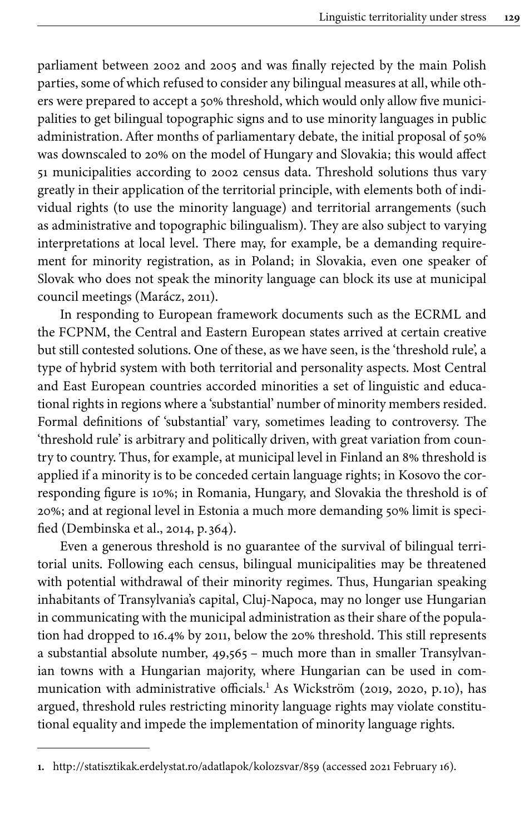parliament between 2002 and 2005 and was finally rejected by the main Polish parties, some of which refused to consider any bilingual measures at all, while others were prepared to accept a 50% threshold, which would only allow five municipalities to get bilingual topographic signs and to use minority languages in public administration. After months of parliamentary debate, the initial proposal of 50% was downscaled to 20% on the model of Hungary and Slovakia; this would affect 51 municipalities according to 2002 census data. Threshold solutions thus vary greatly in their application of the territorial principle, with elements both of individual rights (to use the minority language) and territorial arrangements (such as administrative and topographic bilingualism). They are also subject to varying interpretations at local level. There may, for example, be a demanding requirement for minority registration, as in Poland; in Slovakia, even one speaker of Slovak who does not speak the minority language can block its use at municipal council meetings ([Marácz, 2011](#page-19-19)).

In responding to European framework documents such as the ECRML and the FCPNM, the Central and Eastern European states arrived at certain creative but still contested solutions. One of these, as we have seen, is the 'threshold rule', a type of hybrid system with both territorial and personality aspects. Most Central and East European countries accorded minorities a set of linguistic and educational rights in regions where a 'substantial' number of minority members resided. Formal definitions of 'substantial' vary, sometimes leading to controversy. The 'threshold rule' is arbitrary and politically driven, with great variation from country to country. Thus, for example, at municipal level in Finland an 8% threshold is applied if a minority is to be conceded certain language rights; in Kosovo the corresponding figure is 10%; in Romania, Hungary, and Slovakia the threshold is of 20%; and at regional level in Estonia a much more demanding 50% limit is specified [\(Dembinska et](#page-18-8) al., 2014, p. 364).

Even a generous threshold is no guarantee of the survival of bilingual territorial units. Following each census, bilingual municipalities may be threatened with potential withdrawal of their minority regimes. Thus, Hungarian speaking inhabitants of Transylvania's capital, Cluj-Napoca, may no longer use Hungarian in communicating with the municipal administration as their share of the population had dropped to 16.4% by 2011, below the 20% threshold. This still represents a substantial absolute number, 49,565 – much more than in smaller Transylvanian towns with a Hungarian majority, where Hungarian can be used in com-munication with administrative officials.<sup>1</sup> As Wickström [\(2019,](#page-20-8) [2020](#page-20-9), p.10), has argued, threshold rules restricting minority language rights may violate constitutional equality and impede the implementation of minority language rights.

**<sup>1.</sup>** <http://statisztikak.erdelystat.ro/adatlapok/kolozsvar/859> (accessed 2021 February 16).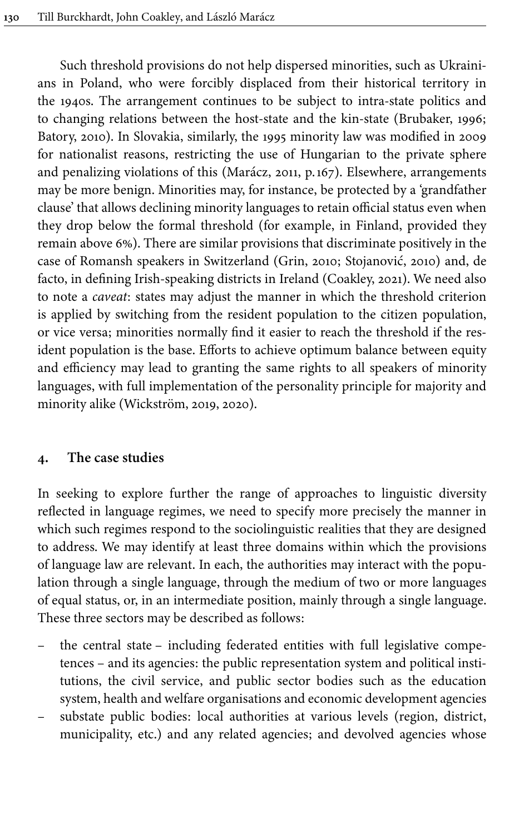Such threshold provisions do not help dispersed minorities, such as Ukrainians in Poland, who were forcibly displaced from their historical territory in the 1940s. The arrangement continues to be subject to intra-state politics and to changing relations between the host-state and the kin-state [\(Brubaker, 1996](#page-17-10); [Batory, 2010](#page-17-11)). In Slovakia, similarly, the 1995 minority law was modified in 2009 for nationalist reasons, restricting the use of Hungarian to the private sphere and penalizing violations of this ([Marácz, 2011,](#page-19-19) p.167). Elsewhere, arrangements may be more benign. Minorities may, for instance, be protected by a 'grandfather clause' that allows declining minority languages to retain official status even when they drop below the formal threshold (for example, in Finland, provided they remain above 6%). There are similar provisions that discriminate positively in the case of Romansh speakers in Switzerland ([Grin, 2010](#page-18-15); [Stojanović, 2010](#page-20-10)) and, de facto, in defining Irish-speaking districts in Ireland ([Coakley, 2021\)](#page-18-16). We need also to note a *caveat*: states may adjust the manner in which the threshold criterion is applied by switching from the resident population to the citizen population, or vice versa; minorities normally find it easier to reach the threshold if the resident population is the base. Efforts to achieve optimum balance between equity and efficiency may lead to granting the same rights to all speakers of minority languages, with full implementation of the personality principle for majority and minority alike ([Wickström, 2019,](#page-20-8) [2020\)](#page-20-9).

# **4. The case studies**

In seeking to explore further the range of approaches to linguistic diversity reflected in language regimes, we need to specify more precisely the manner in which such regimes respond to the sociolinguistic realities that they are designed to address. We may identify at least three domains within which the provisions of language law are relevant. In each, the authorities may interact with the population through a single language, through the medium of two or more languages of equal status, or, in an intermediate position, mainly through a single language. These three sectors may be described as follows:

- the central state including federated entities with full legislative competences – and its agencies: the public representation system and political institutions, the civil service, and public sector bodies such as the education system, health and welfare organisations and economic development agencies
- substate public bodies: local authorities at various levels (region, district, municipality, etc.) and any related agencies; and devolved agencies whose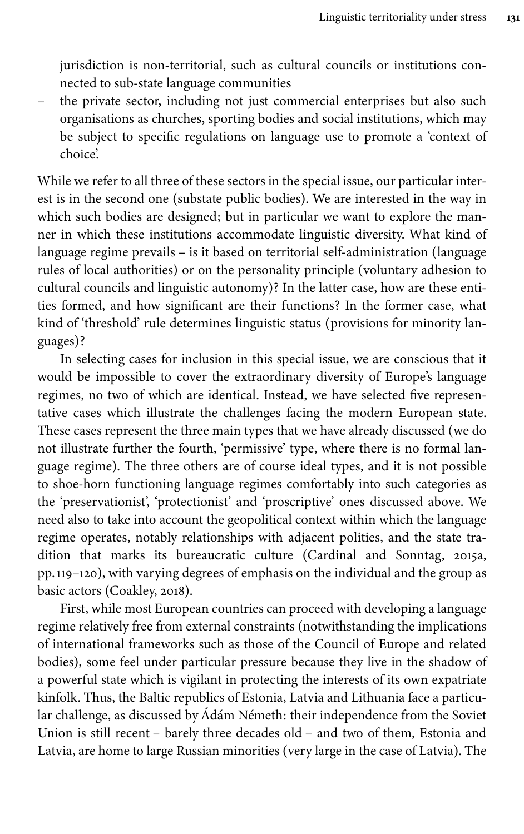jurisdiction is non-territorial, such as cultural councils or institutions connected to sub-state language communities

the private sector, including not just commercial enterprises but also such organisations as churches, sporting bodies and social institutions, which may be subject to specific regulations on language use to promote a 'context of choice'.

While we refer to all three of these sectors in the special issue, our particular interest is in the second one (substate public bodies). We are interested in the way in which such bodies are designed; but in particular we want to explore the manner in which these institutions accommodate linguistic diversity. What kind of language regime prevails – is it based on territorial self-administration (language rules of local authorities) or on the personality principle (voluntary adhesion to cultural councils and linguistic autonomy)? In the latter case, how are these entities formed, and how significant are their functions? In the former case, what kind of 'threshold' rule determines linguistic status (provisions for minority languages)?

In selecting cases for inclusion in this special issue, we are conscious that it would be impossible to cover the extraordinary diversity of Europe's language regimes, no two of which are identical. Instead, we have selected five representative cases which illustrate the challenges facing the modern European state. These cases represent the three main types that we have already discussed (we do not illustrate further the fourth, 'permissive' type, where there is no formal language regime). The three others are of course ideal types, and it is not possible to shoe-horn functioning language regimes comfortably into such categories as the 'preservationist', 'protectionist' and 'proscriptive' ones discussed above. We need also to take into account the geopolitical context within which the language regime operates, notably relationships with adjacent polities, and the state tradition that marks its bureaucratic culture ([Cardinal and Sonntag, 2015a](#page-18-3), pp.119–120), with varying degrees of emphasis on the individual and the group as basic actors [\(Coakley, 2018\)](#page-18-17).

First, while most European countries can proceed with developing a language regime relatively free from external constraints (notwithstanding the implications of international frameworks such as those of the Council of Europe and related bodies), some feel under particular pressure because they live in the shadow of a powerful state which is vigilant in protecting the interests of its own expatriate kinfolk. Thus, the Baltic republics of Estonia, Latvia and Lithuania face a particular challenge, as discussed by Ádám Németh: their independence from the Soviet Union is still recent – barely three decades old – and two of them, Estonia and Latvia, are home to large Russian minorities (very large in the case of Latvia). The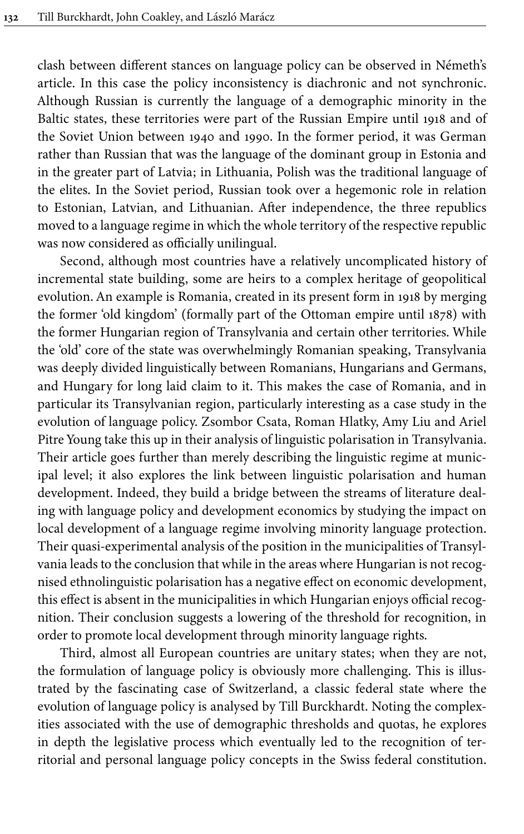clash between different stances on language policy can be observed in Németh's article. In this case the policy inconsistency is diachronic and not synchronic. Although Russian is currently the language of a demographic minority in the Baltic states, these territories were part of the Russian Empire until 1918 and of the Soviet Union between 1940 and 1990. In the former period, it was German rather than Russian that was the language of the dominant group in Estonia and in the greater part of Latvia; in Lithuania, Polish was the traditional language of the elites. In the Soviet period, Russian took over a hegemonic role in relation to Estonian, Latvian, and Lithuanian. After independence, the three republics moved to a language regime in which the whole territory of the respective republic was now considered as officially unilingual.

Second, although most countries have a relatively uncomplicated history of incremental state building, some are heirs to a complex heritage of geopolitical evolution. An example is Romania, created in its present form in 1918 by merging the former 'old kingdom' (formally part of the Ottoman empire until 1878) with the former Hungarian region of Transylvania and certain other territories. While the 'old' core of the state was overwhelmingly Romanian speaking, Transylvania was deeply divided linguistically between Romanians, Hungarians and Germans, and Hungary for long laid claim to it. This makes the case of Romania, and in particular its Transylvanian region, particularly interesting as a case study in the evolution of language policy. Zsombor Csata, Roman Hlatky, Amy Liu and Ariel Pitre Young take this up in their analysis of linguistic polarisation in Transylvania. Their article goes further than merely describing the linguistic regime at municipal level; it also explores the link between linguistic polarisation and human development. Indeed, they build a bridge between the streams of literature dealing with language policy and development economics by studying the impact on local development of a language regime involving minority language protection. Their quasi-experimental analysis of the position in the municipalities of Transylvania leads to the conclusion that while in the areas where Hungarian is not recognised ethnolinguistic polarisation has a negative effect on economic development, this effect is absent in the municipalities in which Hungarian enjoys official recognition. Their conclusion suggests a lowering of the threshold for recognition, in order to promote local development through minority language rights.

Third, almost all European countries are unitary states; when they are not, the formulation of language policy is obviously more challenging. This is illustrated by the fascinating case of Switzerland, a classic federal state where the evolution of language policy is analysed by Till Burckhardt. Noting the complexities associated with the use of demographic thresholds and quotas, he explores in depth the legislative process which eventually led to the recognition of territorial and personal language policy concepts in the Swiss federal constitution.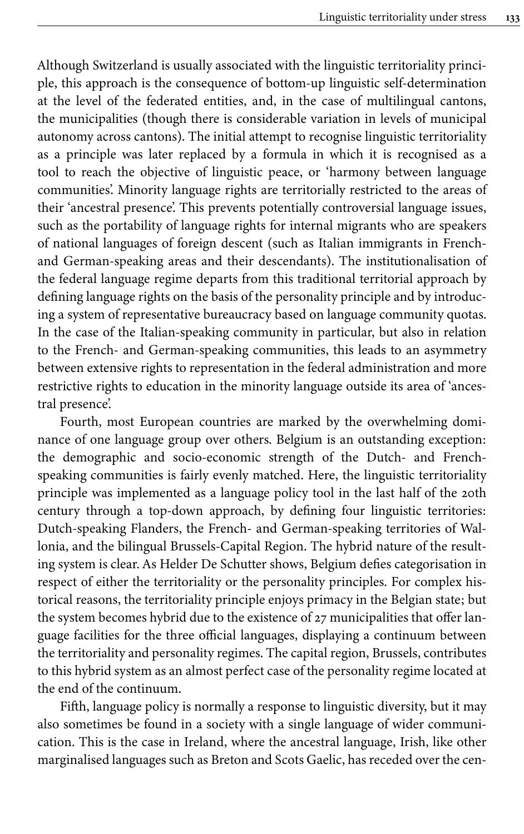Although Switzerland is usually associated with the linguistic territoriality principle, this approach is the consequence of bottom-up linguistic self-determination at the level of the federated entities, and, in the case of multilingual cantons, the municipalities (though there is considerable variation in levels of municipal autonomy across cantons). The initial attempt to recognise linguistic territoriality as a principle was later replaced by a formula in which it is recognised as a tool to reach the objective of linguistic peace, or 'harmony between language communities'. Minority language rights are territorially restricted to the areas of their 'ancestral presence'. This prevents potentially controversial language issues, such as the portability of language rights for internal migrants who are speakers of national languages of foreign descent (such as Italian immigrants in Frenchand German-speaking areas and their descendants). The institutionalisation of the federal language regime departs from this traditional territorial approach by defining language rights on the basis of the personality principle and by introducing a system of representative bureaucracy based on language community quotas. In the case of the Italian-speaking community in particular, but also in relation to the French- and German-speaking communities, this leads to an asymmetry between extensive rights to representation in the federal administration and more restrictive rights to education in the minority language outside its area of 'ancestral presence'.

Fourth, most European countries are marked by the overwhelming dominance of one language group over others. Belgium is an outstanding exception: the demographic and socio-economic strength of the Dutch- and Frenchspeaking communities is fairly evenly matched. Here, the linguistic territoriality principle was implemented as a language policy tool in the last half of the 20th century through a top-down approach, by defining four linguistic territories: Dutch-speaking Flanders, the French- and German-speaking territories of Wallonia, and the bilingual Brussels-Capital Region. The hybrid nature of the resulting system is clear. As Helder De Schutter shows, Belgium defies categorisation in respect of either the territoriality or the personality principles. For complex historical reasons, the territoriality principle enjoys primacy in the Belgian state; but the system becomes hybrid due to the existence of 27 municipalities that offer language facilities for the three official languages, displaying a continuum between the territoriality and personality regimes. The capital region, Brussels, contributes to this hybrid system as an almost perfect case of the personality regime located at the end of the continuum.

Fifth, language policy is normally a response to linguistic diversity, but it may also sometimes be found in a society with a single language of wider communication. This is the case in Ireland, where the ancestral language, Irish, like other marginalised languages such as Breton and Scots Gaelic, has receded over the cen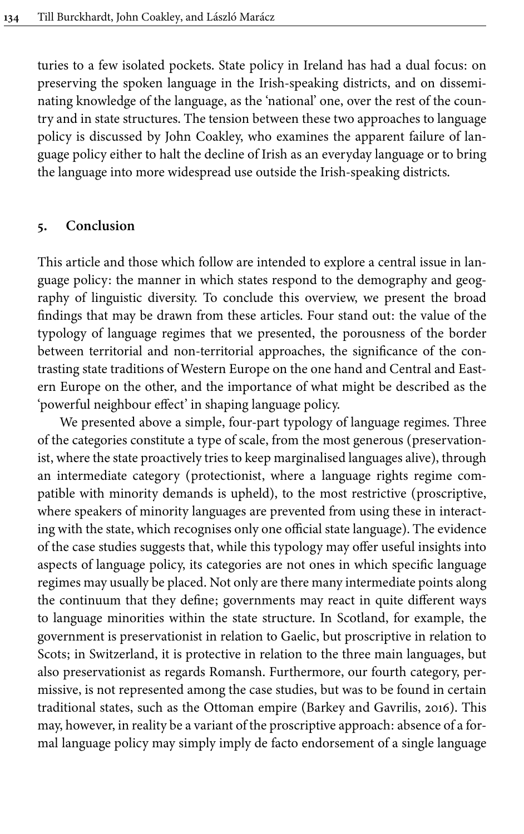turies to a few isolated pockets. State policy in Ireland has had a dual focus: on preserving the spoken language in the Irish-speaking districts, and on disseminating knowledge of the language, as the 'national' one, over the rest of the country and in state structures. The tension between these two approaches to language policy is discussed by John Coakley, who examines the apparent failure of language policy either to halt the decline of Irish as an everyday language or to bring the language into more widespread use outside the Irish-speaking districts.

#### **5. Conclusion**

This article and those which follow are intended to explore a central issue in language policy: the manner in which states respond to the demography and geography of linguistic diversity. To conclude this overview, we present the broad findings that may be drawn from these articles. Four stand out: the value of the typology of language regimes that we presented, the porousness of the border between territorial and non-territorial approaches, the significance of the contrasting state traditions of Western Europe on the one hand and Central and Eastern Europe on the other, and the importance of what might be described as the 'powerful neighbour effect' in shaping language policy.

We presented above a simple, four-part typology of language regimes. Three of the categories constitute a type of scale, from the most generous (preservationist, where the state proactively tries to keep marginalised languages alive), through an intermediate category (protectionist, where a language rights regime compatible with minority demands is upheld), to the most restrictive (proscriptive, where speakers of minority languages are prevented from using these in interacting with the state, which recognises only one official state language). The evidence of the case studies suggests that, while this typology may offer useful insights into aspects of language policy, its categories are not ones in which specific language regimes may usually be placed. Not only are there many intermediate points along the continuum that they define; governments may react in quite different ways to language minorities within the state structure. In Scotland, for example, the government is preservationist in relation to Gaelic, but proscriptive in relation to Scots; in Switzerland, it is protective in relation to the three main languages, but also preservationist as regards Romansh. Furthermore, our fourth category, permissive, is not represented among the case studies, but was to be found in certain traditional states, such as the Ottoman empire ([Barkey and Gavrilis, 2016\)](#page-17-12). This may, however, in reality be a variant of the proscriptive approach: absence of a formal language policy may simply imply de facto endorsement of a single language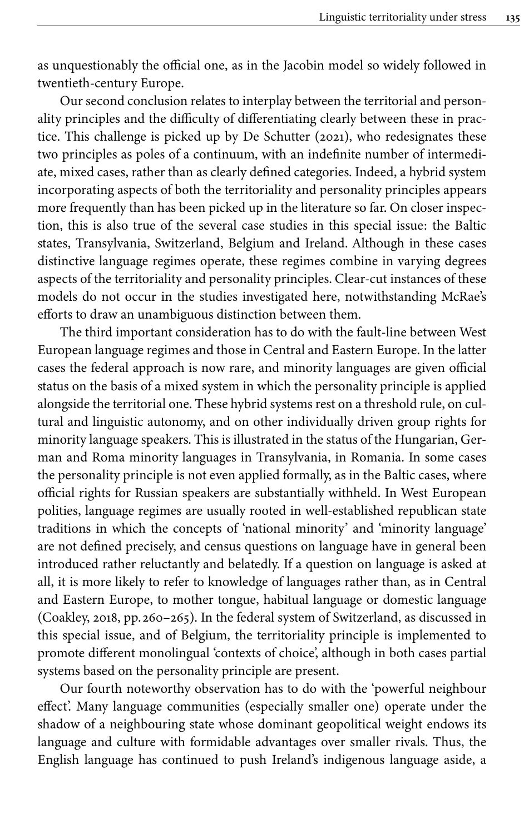as unquestionably the official one, as in the Jacobin model so widely followed in twentieth-century Europe.

Our second conclusion relates to interplay between the territorial and personality principles and the difficulty of differentiating clearly between these in practice. This challenge is picked up by [De Schutter \(2021\),](#page-18-18) who redesignates these two principles as poles of a continuum, with an indefinite number of intermediate, mixed cases, rather than as clearly defined categories. Indeed, a hybrid system incorporating aspects of both the territoriality and personality principles appears more frequently than has been picked up in the literature so far. On closer inspection, this is also true of the several case studies in this special issue: the Baltic states, Transylvania, Switzerland, Belgium and Ireland. Although in these cases distinctive language regimes operate, these regimes combine in varying degrees aspects of the territoriality and personality principles. Clear-cut instances of these models do not occur in the studies investigated here, notwithstanding McRae's efforts to draw an unambiguous distinction between them.

The third important consideration has to do with the fault-line between West European language regimes and those in Central and Eastern Europe. In the latter cases the federal approach is now rare, and minority languages are given official status on the basis of a mixed system in which the personality principle is applied alongside the territorial one. These hybrid systems rest on a threshold rule, on cultural and linguistic autonomy, and on other individually driven group rights for minority language speakers. This is illustrated in the status of the Hungarian, German and Roma minority languages in Transylvania, in Romania. In some cases the personality principle is not even applied formally, as in the Baltic cases, where official rights for Russian speakers are substantially withheld. In West European polities, language regimes are usually rooted in well-established republican state traditions in which the concepts of 'national minority' and 'minority language' are not defined precisely, and census questions on language have in general been introduced rather reluctantly and belatedly. If a question on language is asked at all, it is more likely to refer to knowledge of languages rather than, as in Central and Eastern Europe, to mother tongue, habitual language or domestic language [\(Coakley, 2018](#page-18-17), pp. 260–265). In the federal system of Switzerland, as discussed in this special issue, and of Belgium, the territoriality principle is implemented to promote different monolingual 'contexts of choice', although in both cases partial systems based on the personality principle are present.

Our fourth noteworthy observation has to do with the 'powerful neighbour effect'. Many language communities (especially smaller one) operate under the shadow of a neighbouring state whose dominant geopolitical weight endows its language and culture with formidable advantages over smaller rivals. Thus, the English language has continued to push Ireland's indigenous language aside, a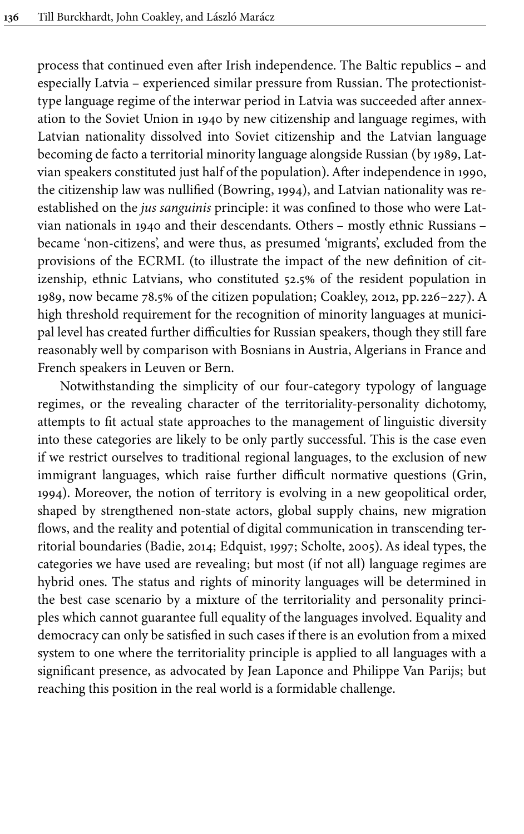process that continued even after Irish independence. The Baltic republics – and especially Latvia – experienced similar pressure from Russian. The protectionisttype language regime of the interwar period in Latvia was succeeded after annexation to the Soviet Union in 1940 by new citizenship and language regimes, with Latvian nationality dissolved into Soviet citizenship and the Latvian language becoming de facto a territorial minority language alongside Russian (by 1989, Latvian speakers constituted just half of the population). After independence in 1990, the citizenship law was nullified ([Bowring, 1994\)](#page-17-13), and Latvian nationality was reestablished on the *jus sanguinis* principle: it was confined to those who were Latvian nationals in 1940 and their descendants. Others – mostly ethnic Russians – became 'non-citizens', and were thus, as presumed 'migrants', excluded from the provisions of the ECRML (to illustrate the impact of the new definition of citizenship, ethnic Latvians, who constituted 52.5% of the resident population in 1989, now became 78.5% of the citizen population; [Coakley, 2012,](#page-18-19) pp. 226–227). A high threshold requirement for the recognition of minority languages at municipal level has created further difficulties for Russian speakers, though they still fare reasonably well by comparison with Bosnians in Austria, Algerians in France and French speakers in Leuven or Bern.

Notwithstanding the simplicity of our four-category typology of language regimes, or the revealing character of the territoriality-personality dichotomy, attempts to fit actual state approaches to the management of linguistic diversity into these categories are likely to be only partly successful. This is the case even if we restrict ourselves to traditional regional languages, to the exclusion of new immigrant languages, which raise further difficult normative questions [\(Grin,](#page-18-20) [1994](#page-18-20)). Moreover, the notion of territory is evolving in a new geopolitical order, shaped by strengthened non-state actors, global supply chains, new migration flows, and the reality and potential of digital communication in transcending territorial boundaries [\(Badie, 2014](#page-17-14); Edquist, 1997; [Scholte, 2005\)](#page-19-20). As ideal types, the categories we have used are revealing; but most (if not all) language regimes are hybrid ones. The status and rights of minority languages will be determined in the best case scenario by a mixture of the territoriality and personality principles which cannot guarantee full equality of the languages involved. Equality and democracy can only be satisfied in such cases if there is an evolution from a mixed system to one where the territoriality principle is applied to all languages with a significant presence, as advocated by Jean Laponce and Philippe Van Parijs; but reaching this position in the real world is a formidable challenge.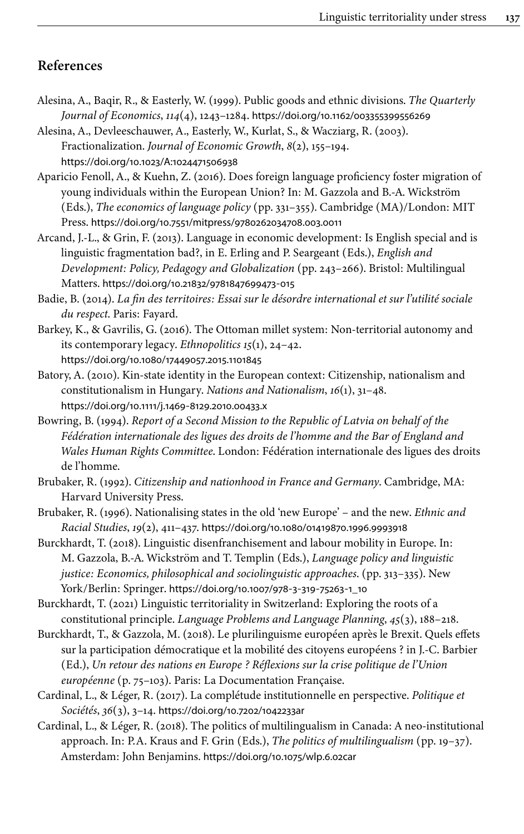# **References**

<span id="page-17-8"></span>Alesina, A., Baqir, R., & Easterly, W. (1999). Public goods and ethnic divisions. *The Quarterly Journal of Economics*, *114*(4), 1243–1284. [https://doi.org/10.1162/003355399556269](https://doi.org/10.1162%2F003355399556269)

<span id="page-17-7"></span>Alesina, A., Devleeschauwer, A., Easterly, W., Kurlat, S., & Wacziarg, R. (2003). Fractionalization. *Journal of Economic Growth*, *8*(2), 155–194. [https://doi.org/10.1023/A:1024471506938](https://doi.org/10.1023%2FA%3A1024471506938)

- <span id="page-17-1"></span>Aparicio Fenoll, A., & Kuehn, Z. (2016). Does foreign language proficiency foster migration of young individuals within the European Union? In: M. Gazzola and B.-A. Wickström (Eds.), *The economics of language policy* (pp. 331–355). Cambridge (MA)/London: MIT Press. [https://doi.org/10.7551/mitpress/9780262034708.003.0011](https://doi.org/10.7551%2Fmitpress%2F9780262034708.003.0011)
- <span id="page-17-9"></span>Arcand, J.-L., & Grin, F. (2013). Language in economic development: Is English special and is linguistic fragmentation bad?, in E. Erling and P. Seargeant (Eds.), *English and Development: Policy, Pedagogy and Globalization* (pp. 243–266). Bristol: Multilingual Matters. [https://doi.org/10.21832/9781847699473](https://doi.org/10.21832%2F9781847699473-015)‑015

<span id="page-17-14"></span>Badie, B. (2014). *La fin des territoires: Essai sur le désordre international et sur l'utilité sociale du respect*. Paris: Fayard.

- <span id="page-17-12"></span>Barkey, K., & Gavrilis, G. (2016). The Ottoman millet system: Non-territorial autonomy and its contemporary legacy. *Ethnopolitics 15*(1), 24–42. [https://doi.org/10.1080/17449057.2015.1101845](https://doi.org/10.1080%2F17449057.2015.1101845)
- <span id="page-17-11"></span>Batory, A. (2010). Kin-state identity in the European context: Citizenship, nationalism and constitutionalism in Hungary. *Nations and Nationalism*, *16*(1), 31–48. [https://doi.org/10.1111/j.1469](https://doi.org/10.1111%2Fj.1469-8129.2010.00433.x)‑8129.2010.00433.x
- <span id="page-17-13"></span>Bowring, B. (1994). *Report of a Second Mission to the Republic of Latvia on behalf of the Fédération internationale des ligues des droits de l'homme and the Bar of England and Wales Human Rights Committee*. London: Fédération internationale des ligues des droits de l'homme.

<span id="page-17-6"></span>Brubaker, R. (1992). *Citizenship and nationhood in France and Germany*. Cambridge, MA: Harvard University Press.

- <span id="page-17-10"></span>Brubaker, R. (1996). Nationalising states in the old 'new Europe' – and the new. *Ethnic and Racial Studies*, *19*(2), 411–437. [https://doi.org/10.1080/01419870.1996.9993918](https://doi.org/10.1080%2F01419870.1996.9993918)
- <span id="page-17-2"></span>Burckhardt, T. (2018). Linguistic disenfranchisement and labour mobility in Europe. In: M. Gazzola, B.-A. Wickström and T. Templin (Eds.), *Language policy and linguistic justice: Economics, philosophical and sociolinguistic approaches*. (pp. 313–335). New York/Berlin: Springer. [https://doi.org/10.1007/978](https://doi.org/10.1007%2F978-3-319-75263-1_10)‑3‑319‑75263‑1\_10

<span id="page-17-4"></span>Burckhardt, T. (2021) Linguistic territoriality in Switzerland: Exploring the roots of a constitutional principle. *Language Problems and Language Planning*, *45*(3), 188–218.

- <span id="page-17-3"></span>Burckhardt, T., & Gazzola, M. (2018). Le plurilinguisme européen après le Brexit. Quels effets sur la participation démocratique et la mobilité des citoyens européens ? in J.-C. Barbier (Ed.), *Un retour des nations en Europe ? Réflexions sur la crise politique de l'Union européenne* (p. 75–103). Paris: La Documentation Française.
- <span id="page-17-5"></span>Cardinal, L., & Léger, R. (2017). La complétude institutionnelle en perspective. *Politique et Sociétés*, *36*(3), 3–14. [https://doi.org/10.7202/1042233ar](https://doi.org/10.7202%2F1042233ar)
- <span id="page-17-0"></span>Cardinal, L., & Léger, R. (2018). The politics of multilingualism in Canada: A neo-institutional approach. In: P.A. Kraus and F. Grin (Eds.), *The politics of multilingualism* (pp. 19–37). Amsterdam: John Benjamins. [https://doi.org/10.1075/wlp.6.02car](https://doi.org/10.1075%2Fwlp.6.02car)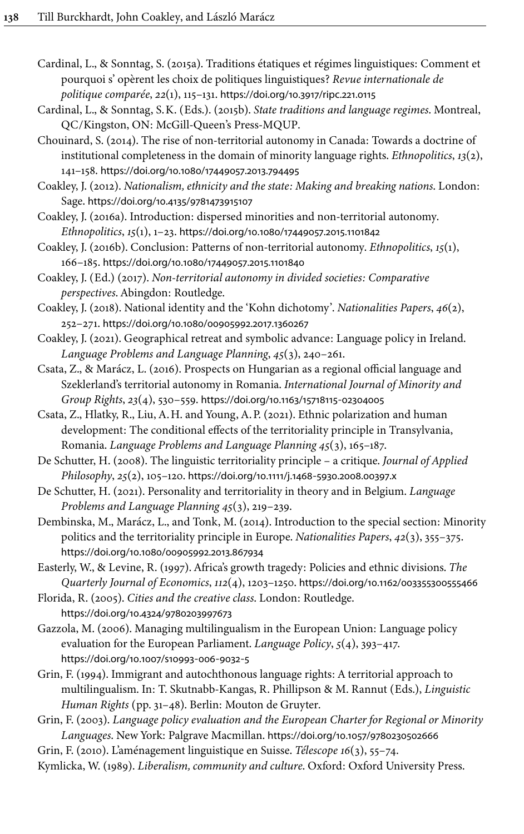<span id="page-18-3"></span>Cardinal, L., & Sonntag, S. (2015a). Traditions étatiques et régimes linguistiques: Comment et pourquoi s' opèrent les choix de politiques linguistiques? *Revue internationale de politique comparée*, *22*(1), 115–131. [https://doi.org/10.3917/ripc.221.0115](https://doi.org/10.3917%2Fripc.221.0115)

<span id="page-18-4"></span>Cardinal, L., & Sonntag, S.K. (Eds.). (2015b). *State traditions and language regimes*. Montreal, QC/Kingston, ON: McGill-Queen's Press-MQUP.

<span id="page-18-10"></span>Chouinard, S. (2014). The rise of non-territorial autonomy in Canada: Towards a doctrine of institutional completeness in the domain of minority language rights. *Ethnopolitics*, *13*(2), 141–158. [https://doi.org/10.1080/17449057.2013.794495](https://doi.org/10.1080%2F17449057.2013.794495)

<span id="page-18-19"></span>Coakley, J. (2012). *Nationalism, ethnicity and the state: Making and breaking nations*. London: Sage. [https://doi.org/10.4135/9781473915107](https://doi.org/10.4135%2F9781473915107)

<span id="page-18-13"></span>Coakley, J. (2016a). Introduction: dispersed minorities and non-territorial autonomy. *Ethnopolitics*, *15*(1), 1–23. [https://doi.org/10.1080/17449057.2015.1101842](https://doi.org/10.1080%2F17449057.2015.1101842)

<span id="page-18-14"></span>Coakley, J. (2016b). Conclusion: Patterns of non-territorial autonomy. *Ethnopolitics*, *15*(1), 166–185. [https://doi.org/10.1080/17449057.2015.1101840](https://doi.org/10.1080%2F17449057.2015.1101840)

<span id="page-18-11"></span>Coakley, J. (Ed.) (2017). *Non-territorial autonomy in divided societies: Comparative perspectives*. Abingdon: Routledge.

<span id="page-18-17"></span>Coakley, J. (2018). National identity and the 'Kohn dichotomy'. *Nationalities Papers*, *46*(2), 252–271. [https://doi.org/10.1080/00905992.2017.1360267](https://doi.org/10.1080%2F00905992.2017.1360267)

<span id="page-18-16"></span>Coakley, J. (2021). Geographical retreat and symbolic advance: Language policy in Ireland. *Language Problems and Language Planning*, *45*(3), 240–261.

<span id="page-18-12"></span>Csata, Z., & Marácz, L. (2016). Prospects on Hungarian as a regional official language and Szeklerland's territorial autonomy in Romania. *International Journal of Minority and Group Rights*, *23*(4), 530–559. [https://doi.org/10.1163/15718115](https://doi.org/10.1163%2F15718115-02304005)‑02304005

<span id="page-18-5"></span>Csata, Z., Hlatky, R., Liu, A.H. and Young, A.P. (2021). Ethnic polarization and human development: The conditional effects of the territoriality principle in Transylvania, Romania. *Language Problems and Language Planning 45*(3), 165–187.

<span id="page-18-1"></span>De Schutter, H. (2008). The linguistic territoriality principle – a critique. *Journal of Applied Philosophy*, *25*(2), 105–120. [https://doi.org/10.1111/j.1468](https://doi.org/10.1111%2Fj.1468-5930.2008.00397.x)‑5930.2008.00397.x

<span id="page-18-18"></span>De Schutter, H. (2021). Personality and territoriality in theory and in Belgium. *Language Problems and Language Planning 45*(3), 219–239.

<span id="page-18-8"></span>Dembinska, M., Marácz, L., and Tonk, M. (2014). Introduction to the special section: Minority politics and the territoriality principle in Europe. *Nationalities Papers*, *42*(3), 355–375. [https://doi.org/10.1080/00905992.2013.867934](https://doi.org/10.1080%2F00905992.2013.867934)

<span id="page-18-6"></span>Easterly, W., & Levine, R. (1997). Africa's growth tragedy: Policies and ethnic divisions. *The Quarterly Journal of Economics*, *112*(4), 1203–1250. [https://doi.org/10.1162/003355300555466](https://doi.org/10.1162%2F003355300555466)

<span id="page-18-7"></span>Florida, R. (2005). *Cities and the creative class*. London: Routledge.

[https://doi.org/10.4324/9780203997673](https://doi.org/10.4324%2F9780203997673)

<span id="page-18-2"></span>Gazzola, M. (2006). Managing multilingualism in the European Union: Language policy evaluation for the European Parliament. *Language Policy*, *5*(4), 393–417. [https://doi.org/10.1007/s10993](https://doi.org/10.1007%2Fs10993-006-9032-5)‑006‑9032‑5

<span id="page-18-20"></span>Grin, F. (1994). Immigrant and autochthonous language rights: A territorial approach to multilingualism. In: T. Skutnabb-Kangas, R. Phillipson & M. Rannut (Eds.), *Linguistic Human Rights* (pp. 31–48). Berlin: Mouton de Gruyter.

<span id="page-18-9"></span>Grin, F. (2003). *Language policy evaluation and the European Charter for Regional or Minority Languages*. New York: Palgrave Macmillan. [https://doi.org/10.1057/9780230502666](https://doi.org/10.1057%2F9780230502666)

<span id="page-18-15"></span>Grin, F. (2010). L'aménagement linguistique en Suisse. *Télescope 16*(3), 55–74.

<span id="page-18-0"></span>Kymlicka, W. (1989). *Liberalism, community and culture*. Oxford: Oxford University Press.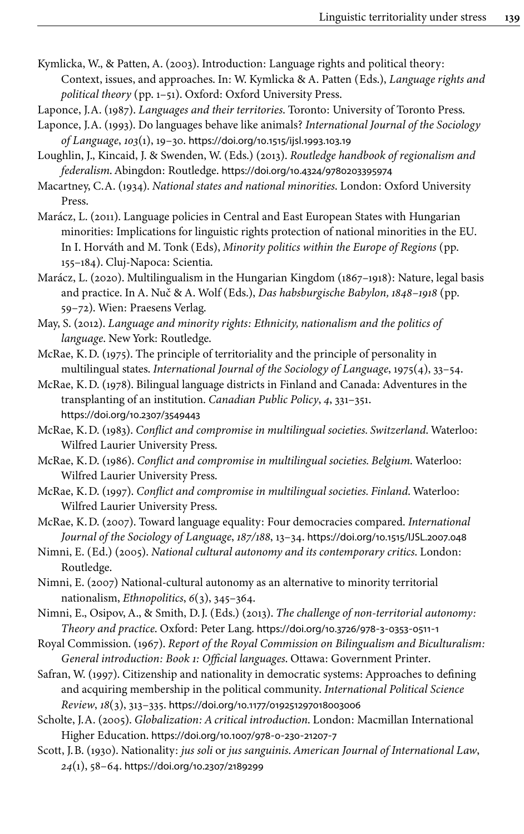- <span id="page-19-11"></span>Kymlicka, W., & Patten, A. (2003). Introduction: Language rights and political theory: Context, issues, and approaches. In: W. Kymlicka & A. Patten (Eds.), *Language rights and political theory* (pp. 1–51). Oxford: Oxford University Press.
- <span id="page-19-9"></span>Laponce, J.A. (1987). *Languages and their territories*. Toronto: University of Toronto Press.
- <span id="page-19-10"></span>Laponce, J.A. (1993). Do languages behave like animals? *International Journal of the Sociology of Language*, *103*(1), 19–30. [https://doi.org/10.1515/ijsl.1993.103.19](https://doi.org/10.1515%2Fijsl.1993.103.19)
- <span id="page-19-13"></span>Loughlin, J., Kincaid, J. & Swenden, W. (Eds.) (2013). *Routledge handbook of regionalism and federalism*. Abingdon: Routledge. [https://doi.org/10.4324/9780203395974](https://doi.org/10.4324%2F9780203395974)
- <span id="page-19-16"></span>Macartney, C.A. (1934). *National states and national minorities*. London: Oxford University Press.
- <span id="page-19-19"></span>Marácz, L. (2011). Language policies in Central and East European States with Hungarian minorities: Implications for linguistic rights protection of national minorities in the EU. In I. Horváth and M. Tonk (Eds), *Minority politics within the Europe of Regions* (pp. 155–184). Cluj-Napoca: Scientia.
- <span id="page-19-18"></span>Marácz, L. (2020). Multilingualism in the Hungarian Kingdom (1867–1918): Nature, legal basis and practice. In A. Nuč & A. Wolf (Eds.), *Das habsburgische Babylon, 1848–1918* (pp. 59–72). Wien: Praesens Verlag.
- <span id="page-19-12"></span>May, S. (2012). *Language and minority rights: Ethnicity, nationalism and the politics of language*. New York: Routledge.
- <span id="page-19-4"></span>McRae, K.D. (1975). The principle of territoriality and the principle of personality in multilingual states. *International Journal of the Sociology of Language*, 1975(4), 33–54.
- <span id="page-19-0"></span>McRae, K.D. (1978). Bilingual language districts in Finland and Canada: Adventures in the transplanting of an institution. *Canadian Public Policy*, *4*, 331–351. [https://doi.org/10.2307/3549443](https://doi.org/10.2307%2F3549443)
- <span id="page-19-5"></span>McRae, K.D. (1983). *Conflict and compromise in multilingual societies. Switzerland*. Waterloo: Wilfred Laurier University Press.
- <span id="page-19-6"></span>McRae, K.D. (1986). *Conflict and compromise in multilingual societies. Belgium*. Waterloo: Wilfred Laurier University Press.
- <span id="page-19-7"></span>McRae, K.D. (1997). *Conflict and compromise in multilingual societies. Finland*. Waterloo: Wilfred Laurier University Press.
- <span id="page-19-8"></span>McRae, K.D. (2007). Toward language equality: Four democracies compared. *International Journal of the Sociology of Language*, *187/188*, 13–34. [https://doi.org/10.1515/IJSL.2007.048](https://doi.org/10.1515%2FIJSL.2007.048)
- <span id="page-19-14"></span>Nimni, E. (Ed.) (2005). *National cultural autonomy and its contemporary critics*. London: Routledge.
- <span id="page-19-17"></span>Nimni, E. (2007) National-cultural autonomy as an alternative to minority territorial nationalism, *Ethnopolitics*, *6*(3), 345–364.
- <span id="page-19-15"></span>Nimni, E., Osipov, A., & Smith, D.J. (Eds.) (2013). *The challenge of non-territorial autonomy: Theory and practice*. Oxford: Peter Lang. [https://doi.org/10.3726/978](https://doi.org/10.3726%2F978-3-0353-0511-1)‑3‑0353‑0511‑1
- <span id="page-19-3"></span>Royal Commission. (1967). *Report of the Royal Commission on Bilingualism and Biculturalism: General introduction: Book 1: Official languages*. Ottawa: Government Printer.
- <span id="page-19-2"></span>Safran, W. (1997). Citizenship and nationality in democratic systems: Approaches to defining and acquiring membership in the political community. *International Political Science Review*, *18*(3), 313–335. [https://doi.org/10.1177/019251297018003006](https://doi.org/10.1177%2F019251297018003006)
- <span id="page-19-20"></span>Scholte, J.A. (2005). *Globalization: A critical introduction*. London: Macmillan International Higher Education. [https://doi.org/10.1007/978](https://doi.org/10.1007%2F978-0-230-21207-7)‑0‑230‑21207‑7
- <span id="page-19-1"></span>Scott, J.B. (1930). Nationality: *jus soli* or *jus sanguinis*. *American Journal of International Law*, *24*(1), 58–64. [https://doi.org/10.2307/2189299](https://doi.org/10.2307%2F2189299)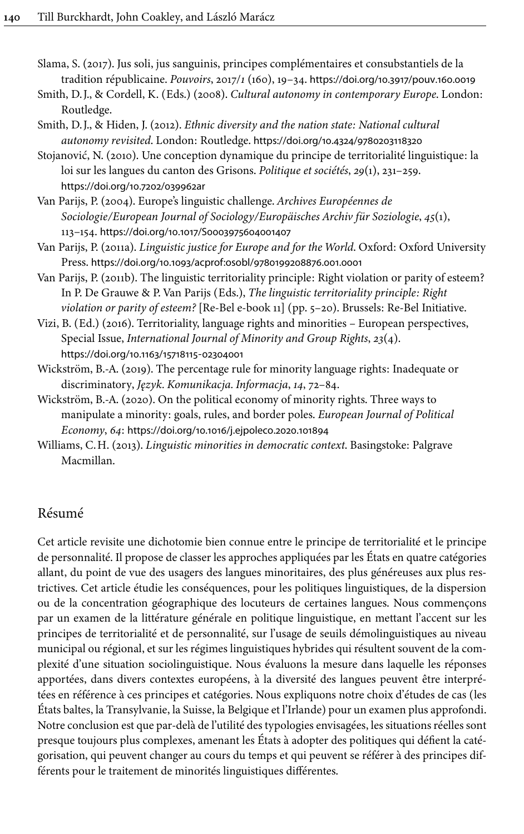<span id="page-20-3"></span>Slama, S. (2017). Jus soli, jus sanguinis, principes complémentaires et consubstantiels de la tradition républicaine. *Pouvoirs*, 2017/*1* (160), 19–34. [https://doi.org/10.3917/pouv.160.0019](https://doi.org/10.3917%2Fpouv.160.0019)

- <span id="page-20-6"></span>Smith, D.J., & Cordell, K. (Eds.) (2008). *Cultural autonomy in contemporary Europe*. London: Routledge.
- <span id="page-20-7"></span>Smith, D.J., & Hiden, J. (2012). *Ethnic diversity and the nation state: National cultural autonomy revisited*. London: Routledge. [https://doi.org/10.4324/9780203118320](https://doi.org/10.4324%2F9780203118320)
- <span id="page-20-10"></span>Stojanović, N. (2010). Une conception dynamique du principe de territorialité linguistique: la loi sur les langues du canton des Grisons. *Politique et sociétés*, *29*(1), 231–259. [https://doi.org/10.7202/039962ar](https://doi.org/10.7202%2F039962ar)
- <span id="page-20-2"></span>Van Parijs, P. (2004). Europe's linguistic challenge. *Archives Européennes de Sociologie/European Journal of Sociology/Europäisches Archiv für Soziologie*, *45*(1), 113–154. [https://doi.org/10.1017/S0003975604001407](https://doi.org/10.1017%2FS0003975604001407)
- <span id="page-20-0"></span>Van Parijs, P. (2011a). *Linguistic justice for Europe and for the World*. Oxford: Oxford University Press. [https://doi.org/10.1093/acprof:osobl/9780199208876.001.0001](https://doi.org/10.1093%2Facprof%3Aosobl%2F9780199208876.001.0001)
- <span id="page-20-1"></span>Van Parijs, P. (2011b). The linguistic territoriality principle: Right violation or parity of esteem? In P. De Grauwe & P. Van Parijs (Eds.), *The linguistic territoriality principle: Right violation or parity of esteem?* [Re-Bel e-book 11] (pp. 5–20). Brussels: Re-Bel Initiative.
- <span id="page-20-5"></span>Vizi, B. (Ed.) (2016). Territoriality, language rights and minorities – European perspectives, Special Issue, *International Journal of Minority and Group Rights*, *23*(4). [https://doi.org/10.1163/15718115](https://doi.org/10.1163%2F15718115-02304001)‑02304001
- <span id="page-20-8"></span>Wickström, B.-A. (2019). The percentage rule for minority language rights: Inadequate or discriminatory, *Język. Komunikacja. Informacja*, *14*, 72–84.
- <span id="page-20-9"></span>Wickström, B.-A. (2020). On the political economy of minority rights. Three ways to manipulate a minority: goals, rules, and border poles. *European Journal of Political Economy*, *64*: [https://doi.org/10.1016/j.ejpoleco.2020.101894](https://doi.org/10.1016%2Fj.ejpoleco.2020.101894)
- <span id="page-20-4"></span>Williams, C.H. (2013). *Linguistic minorities in democratic context*. Basingstoke: Palgrave Macmillan.

# Résumé

Cet article revisite une dichotomie bien connue entre le principe de territorialité et le principe de personnalité. Il propose de classer les approches appliquées par les États en quatre catégories allant, du point de vue des usagers des langues minoritaires, des plus généreuses aux plus restrictives. Cet article étudie les conséquences, pour les politiques linguistiques, de la dispersion ou de la concentration géographique des locuteurs de certaines langues. Nous commençons par un examen de la littérature générale en politique linguistique, en mettant l'accent sur les principes de territorialité et de personnalité, sur l'usage de seuils démolinguistiques au niveau municipal ou régional, et sur les régimes linguistiques hybrides qui résultent souvent de la complexité d'une situation sociolinguistique. Nous évaluons la mesure dans laquelle les réponses apportées, dans divers contextes européens, à la diversité des langues peuvent être interprétées en référence à ces principes et catégories. Nous expliquons notre choix d'études de cas (les États baltes, la Transylvanie, la Suisse, la Belgique et l'Irlande) pour un examen plus approfondi. Notre conclusion est que par-delà de l'utilité des typologies envisagées, les situations réelles sont presque toujours plus complexes, amenant les États à adopter des politiques qui défient la catégorisation, qui peuvent changer au cours du temps et qui peuvent se référer à des principes différents pour le traitement de minorités linguistiques différentes.